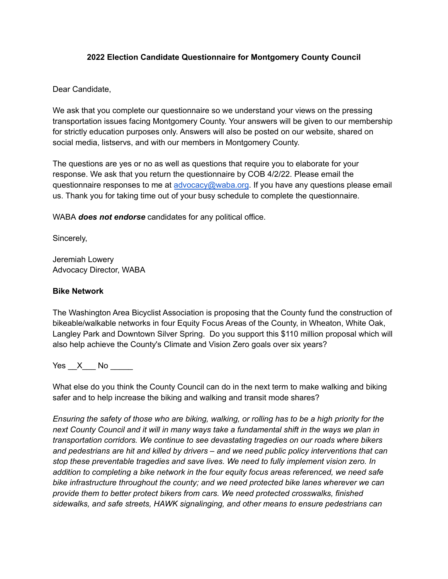# **2022 Election Candidate Questionnaire for Montgomery County Council**

# Dear Candidate,

We ask that you complete our questionnaire so we understand your views on the pressing transportation issues facing Montgomery County. Your answers will be given to our membership for strictly education purposes only. Answers will also be posted on our website, shared on social media, listservs, and with our members in Montgomery County.

The questions are yes or no as well as questions that require you to elaborate for your response. We ask that you return the questionnaire by COB 4/2/22. Please email the questionnaire responses to me at [advocacy@waba.org](mailto:advocacy@waba.org). If you have any questions please email us. Thank you for taking time out of your busy schedule to complete the questionnaire.

WABA *does not endorse* candidates for any political office.

Sincerely,

Jeremiah Lowery Advocacy Director, WABA

# **Bike Network**

The Washington Area Bicyclist Association is proposing that the County fund the construction of bikeable/walkable networks in four Equity Focus Areas of the County, in Wheaton, White Oak, Langley Park and Downtown Silver Spring. Do you support this \$110 million proposal which will also help achieve the County's Climate and Vision Zero goals over six years?

Yes X No  $\blacksquare$ 

What else do you think the County Council can do in the next term to make walking and biking safer and to help increase the biking and walking and transit mode shares?

*Ensuring the safety of those who are biking, walking, or rolling has to be a high priority for the next County Council and it will in many ways take a fundamental shift in the ways we plan in transportation corridors. We continue to see devastating tragedies on our roads where bikers and pedestrians are hit and killed by drivers – and we need public policy interventions that can stop these preventable tragedies and save lives. We need to fully implement vision zero. In addition to completing a bike network in the four equity focus areas referenced, we need safe bike infrastructure throughout the county; and we need protected bike lanes wherever we can provide them to better protect bikers from cars. We need protected crosswalks, finished sidewalks, and safe streets, HAWK signalinging, and other means to ensure pedestrians can*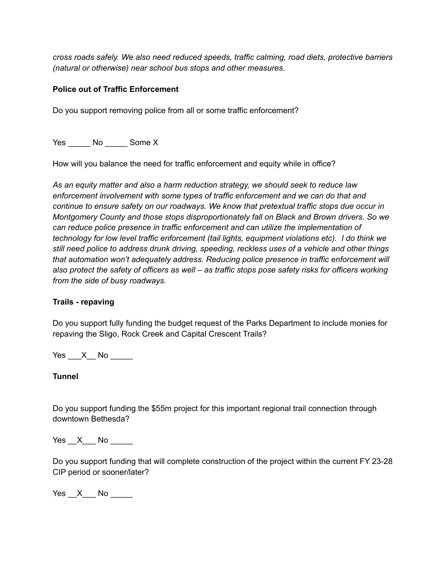*cross roads safely. We also need reduced speeds, traffic calming, road diets, protective barriers (natural or otherwise) near school bus stops and other measures.*

## **Police out of Traffic Enforcement**

Do you support removing police from all or some traffic enforcement?

Yes No Some X

How will you balance the need for traffic enforcement and equity while in office?

*As an equity matter and also a harm reduction strategy, we should seek to reduce law enforcement involvement with some types of traffic enforcement and we can do that and continue to ensure safety on our roadways. We know that pretextual traffic stops due occur in Montgomery County and those stops disproportionately fall on Black and Brown drivers. So we can reduce police presence in traffic enforcement and can utilize the implementation of technology for low level traffic enforcement (tail lights, equipment violations etc). I do think we still need police to address drunk driving, speeding, reckless uses of a vehicle and other things that automation won't adequately address. Reducing police presence in traffic enforcement will also protect the safety of officers as well – as traffic stops pose safety risks for officers working from the side of busy roadways.*

### **Trails - repaving**

Do you support fully funding the budget request of the Parks Department to include monies for repaving the Sligo, Rock Creek and Capital Crescent Trails?

 $Yes \_\ X \_\ No \_\_$ 

### **Tunnel**

Do you support funding the \$55m project for this important regional trail connection through downtown Bethesda?

 $Yes \quad X \quad No \quad \qquad$ 

Do you support funding that will complete construction of the project within the current FY 23-28 CIP period or sooner/later?

Yes \_\_X\_\_\_ No \_\_\_\_\_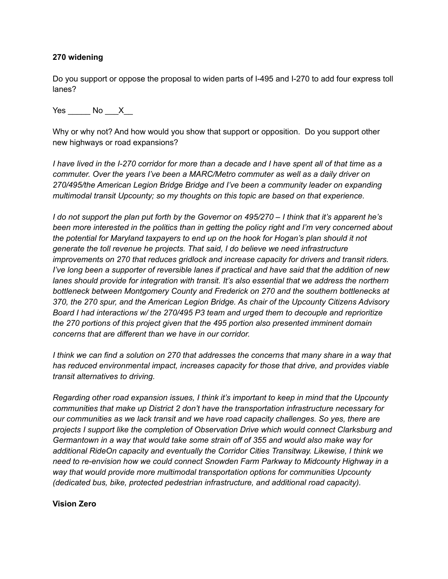### **270 widening**

Do you support or oppose the proposal to widen parts of I-495 and I-270 to add four express toll lanes?

 $Yes$  No  $X$ 

Why or why not? And how would you show that support or opposition. Do you support other new highways or road expansions?

*I have lived in the I-270 corridor for more than a decade and I have spent all of that time as a commuter. Over the years I've been a MARC/Metro commuter as well as a daily driver on 270/495/the American Legion Bridge Bridge and I've been a community leader on expanding multimodal transit Upcounty; so my thoughts on this topic are based on that experience.*

*I do not support the plan put forth by the Governor on 495/270 – I think that it's apparent he's been more interested in the politics than in getting the policy right and I'm very concerned about the potential for Maryland taxpayers to end up on the hook for Hogan's plan should it not generate the toll revenue he projects. That said, I do believe we need infrastructure improvements on 270 that reduces gridlock and increase capacity for drivers and transit riders. I've long been a supporter of reversible lanes if practical and have said that the addition of new lanes should provide for integration with transit. It's also essential that we address the northern bottleneck between Montgomery County and Frederick on 270 and the southern bottlenecks at 370, the 270 spur, and the American Legion Bridge. As chair of the Upcounty Citizens Advisory Board I had interactions w/ the 270/495 P3 team and urged them to decouple and reprioritize the 270 portions of this project given that the 495 portion also presented imminent domain concerns that are different than we have in our corridor.*

*I think we can find a solution on 270 that addresses the concerns that many share in a way that has reduced environmental impact, increases capacity for those that drive, and provides viable transit alternatives to driving.*

*Regarding other road expansion issues, I think it's important to keep in mind that the Upcounty communities that make up District 2 don't have the transportation infrastructure necessary for our communities as we lack transit and we have road capacity challenges. So yes, there are projects I support like the completion of Observation Drive which would connect Clarksburg and Germantown in a way that would take some strain off of 355 and would also make way for additional RideOn capacity and eventually the Corridor Cities Transitway. Likewise, I think we need to re-envision how we could connect Snowden Farm Parkway to Midcounty Highway in a way that would provide more multimodal transportation options for communities Upcounty (dedicated bus, bike, protected pedestrian infrastructure, and additional road capacity).*

#### **Vision Zero**